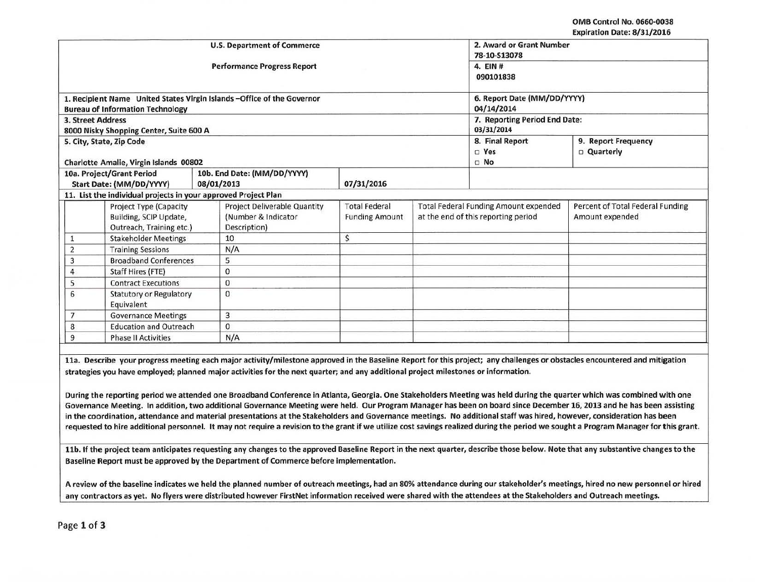OMB Control No. 0660·0038 Expiration Date: 8/31/2016

|                                                                                                    |                                                                              | <b>U.S. Department of Commerce</b>                                      | 2. Award or Grant Number<br>78-10-S13078<br>4. EIN#<br>090101838 |                                                                                     |                                  |                                                     |
|----------------------------------------------------------------------------------------------------|------------------------------------------------------------------------------|-------------------------------------------------------------------------|------------------------------------------------------------------|-------------------------------------------------------------------------------------|----------------------------------|-----------------------------------------------------|
|                                                                                                    |                                                                              | <b>Performance Progress Report</b>                                      |                                                                  |                                                                                     |                                  |                                                     |
|                                                                                                    | <b>Bureau of Information Technology</b>                                      | 1. Recipient Name United States Virgin Islands - Office of the Governor |                                                                  | 6. Report Date (MM/DD/YYYY)<br>04/14/2014                                           |                                  |                                                     |
|                                                                                                    | 3. Street Address<br>8000 Nisky Shopping Center, Suite 600 A                 |                                                                         |                                                                  | 7. Reporting Period End Date:<br>03/31/2014                                         |                                  |                                                     |
|                                                                                                    | 5. City, State, Zip Code<br>Charlotte Amalie, Virgin Islands 00802           |                                                                         |                                                                  | 8. Final Report<br>$\square$ Yes<br>$\Box$ No                                       | 9. Report Frequency<br>Quarterly |                                                     |
| 10a. Project/Grant Period<br>10b. End Date: (MM/DD/YYYY)<br>Start Date: (MM/DD/YYYY)<br>08/01/2013 |                                                                              |                                                                         | 07/31/2016                                                       |                                                                                     |                                  |                                                     |
|                                                                                                    |                                                                              | 11. List the individual projects in your approved Project Plan          |                                                                  |                                                                                     |                                  |                                                     |
|                                                                                                    | Project Type (Capacity<br>Building, SCIP Update,<br>Outreach, Training etc.) | Project Deliverable Quantity<br>(Number & Indicator<br>Description)     | <b>Total Federal</b><br><b>Funding Amount</b>                    | <b>Total Federal Funding Amount expended</b><br>at the end of this reporting period |                                  | Percent of Total Federal Funding<br>Amount expended |
| $\mathbf{1}$                                                                                       | <b>Stakeholder Meetings</b>                                                  | 10                                                                      | \$                                                               |                                                                                     |                                  |                                                     |
| $\overline{2}$                                                                                     | <b>Training Sessions</b>                                                     | N/A                                                                     |                                                                  |                                                                                     |                                  |                                                     |
| 3                                                                                                  | <b>Broadband Conferences</b>                                                 | 5                                                                       |                                                                  |                                                                                     |                                  |                                                     |
| 4                                                                                                  | Staff Hires (FTE)                                                            | $\bf{0}$                                                                |                                                                  |                                                                                     |                                  |                                                     |
| 5                                                                                                  | <b>Contract Executions</b>                                                   | 0                                                                       |                                                                  |                                                                                     |                                  |                                                     |
| 6                                                                                                  | <b>Statutory or Regulatory</b><br>Equivalent                                 | 0                                                                       |                                                                  |                                                                                     |                                  |                                                     |
| 7                                                                                                  | <b>Governance Meetings</b>                                                   | 3                                                                       |                                                                  |                                                                                     |                                  |                                                     |
| 8                                                                                                  | <b>Education and Outreach</b>                                                | $\mathbf{0}$                                                            |                                                                  |                                                                                     |                                  |                                                     |
| 9                                                                                                  | <b>Phase II Activities</b>                                                   | N/A                                                                     |                                                                  |                                                                                     |                                  |                                                     |

Governance Meeting. In addition, two additional Governance Meeting were held. Our Program Manager has been on board since December 16, 2013 and he has been assisting in the coordination, attendance and material presentations at the Stakeholders and Governance meetings. No additional staff was hired, however, consideration has been requested to hire additional personnel. It may not require a revision to the grant if we utilize cost savings realized during the period we sought a Program Manager for this grant.

11b. If the project team anticipates requesting any changes to the approved Baseline Report in the next quarter, describe those below. Note that any substantive changes to the Baseline Report must be approved by the Department of Commerce before implementation.

A review of the baseline indicates we held the planned number of outreach meetings, had an 80% attendance during our stakeholder's meetings, hired no new personnel or hired any contractors as yet. No flyers were distributed however FirstNet information received were shared with the attendees at the Stakeholders and Outreach meetings.

Page 1 of 3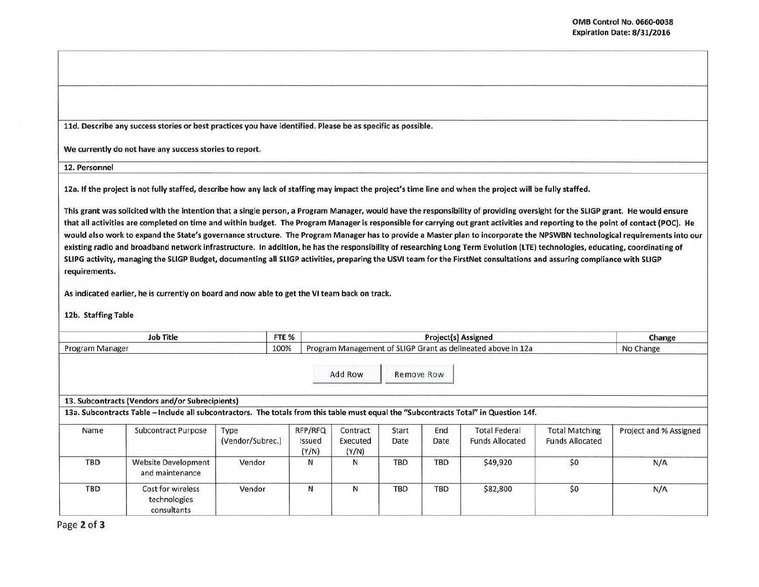11d. Describe any success stories or best practices you have identified. Please be as specific as possible.

We currently do not have any success stories to report.

12. Personnel

12a. If the project is not fully staffed, describe how any lack of staffing may impact the project's time line and when the project will be fully staffed.

This grant was solicited with the intention that a single person, a Program Manager, would have the responsibility of providing oversight for the SLIGP grant. He would ensure that all activities are completed on time and within budget. The Program Manager is responsible for carrying out grant activities and reporting to the point of contact (POC). He would also work to expand the State's governance structure. The Program Manager has to provide a Master plan to incorporate the NPSWBN technological requirements into our existing radio and broadband network infrastructure. In addition, he has the responsibility of researching Long Term Evolution (LTE) technologies, educating, coordinating of SLIPG activity, managing the SLIGP Budget, documenting all SLIGP activities, preparing the USVI team for the FirstNet consultations and assuring compliance with SLIGP requirements.

As indicated earlier, he is currently on board and now able to get the VI team back on track.

12b. Staffing Table

| FTE %<br><b>Job Title</b><br>100%<br>Program Manager |                                                                                                                                                                                          |                          |                            |                                                              | Change<br>No Change |             |                                                |                                                 |                        |
|------------------------------------------------------|------------------------------------------------------------------------------------------------------------------------------------------------------------------------------------------|--------------------------|----------------------------|--------------------------------------------------------------|---------------------|-------------|------------------------------------------------|-------------------------------------------------|------------------------|
|                                                      |                                                                                                                                                                                          |                          |                            | Program Management of SLIGP Grant as delineated above in 12a |                     |             |                                                |                                                 |                        |
|                                                      |                                                                                                                                                                                          |                          |                            | Add Row                                                      | Remove Row          |             |                                                |                                                 |                        |
|                                                      | 13. Subcontracts (Vendors and/or Subrecipients)<br>13a. Subcontracts Table - Include all subcontractors. The totals from this table must equal the "Subcontracts Total" in Question 14f. |                          |                            |                                                              |                     |             |                                                |                                                 |                        |
| Name                                                 | Subcontract Purpose                                                                                                                                                                      | Type<br>(Vendor/Subrec.) | RFP/RFQ<br>Issued<br>(Y/N) | Contract<br>Executed<br>(Y/N)                                | Start<br>Date       | End<br>Date | <b>Total Federal</b><br><b>Funds Allocated</b> | <b>Total Matching</b><br><b>Funds Allocated</b> | Project and % Assigned |
| <b>TBD</b>                                           | <b>Website Development</b><br>and maintenance                                                                                                                                            | Vendor                   | N                          | N                                                            | <b>TBD</b>          | <b>TBD</b>  | \$49,920                                       | \$0                                             | N/A                    |
| TBD                                                  | Cost for wireless<br>technologies<br>consultants                                                                                                                                         | Vendor                   | N                          | N                                                            | TBD                 | <b>TBD</b>  | \$82,800                                       | \$0                                             | N/A                    |

Page 2 of 3